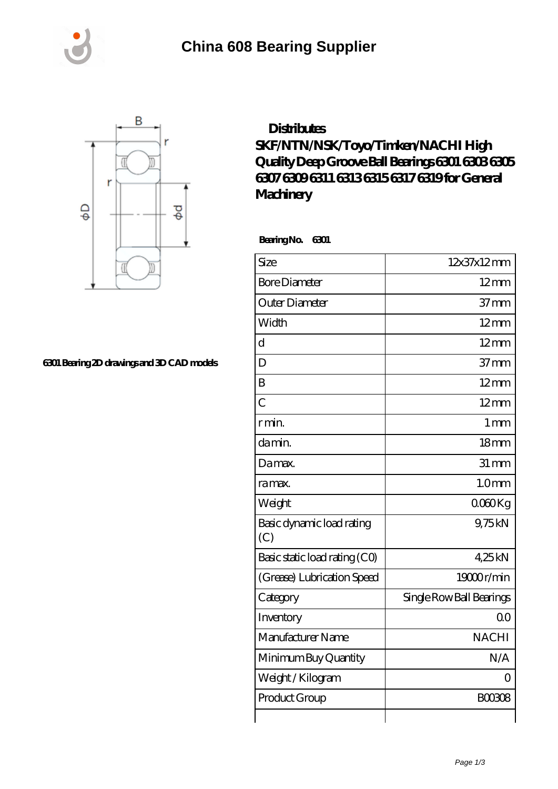





## **[6301 Bearing 2D drawings and 3D CAD models](https://m.rycraftlaw.com/pic-525361.html)**

## **[Distributes](https://m.rycraftlaw.com/skf-6317-bearing/525361.html) [SKF/NTN/NSK/Toyo/Timken/NACHI High](https://m.rycraftlaw.com/skf-6317-bearing/525361.html) [Quality Deep Groove Ball Bearings 6301 6303 6305](https://m.rycraftlaw.com/skf-6317-bearing/525361.html) [6307 6309 6311 6313 6315 6317 6319 for General](https://m.rycraftlaw.com/skf-6317-bearing/525361.html) [Machinery](https://m.rycraftlaw.com/skf-6317-bearing/525361.html)**

 **Bearing No. 6301**

| Size                             | 12x37x12mm               |
|----------------------------------|--------------------------|
| <b>Bore Diameter</b>             | $12 \text{mm}$           |
| Outer Diameter                   | $37 \text{mm}$           |
| Width                            | 12mm                     |
| $\overline{\mathrm{d}}$          | $12 \text{mm}$           |
| D                                | 37 <sub>mm</sub>         |
| B                                | $12$ mm                  |
| $\overline{C}$                   | $12 \text{mm}$           |
| r min.                           | 1 <sub>mm</sub>          |
| da min.                          | 18 <sub>mm</sub>         |
| Damax.                           | $31 \, \text{mm}$        |
| ra max.                          | 1.0 <sub>mm</sub>        |
| Weight                           | $0000$ Kg                |
| Basic dynamic load rating<br>(C) | 9,75kN                   |
| Basic static load rating (CO)    | 425kN                    |
| (Grease) Lubrication Speed       | 19000r/min               |
| Category                         | Single Row Ball Bearings |
| Inventory                        | 0 <sub>0</sub>           |
| Manufacturer Name                | <b>NACHI</b>             |
| Minimum Buy Quantity             | N/A                      |
| Weight / Kilogram                | ∩                        |
| Product Group                    | <b>BOO3O8</b>            |
|                                  |                          |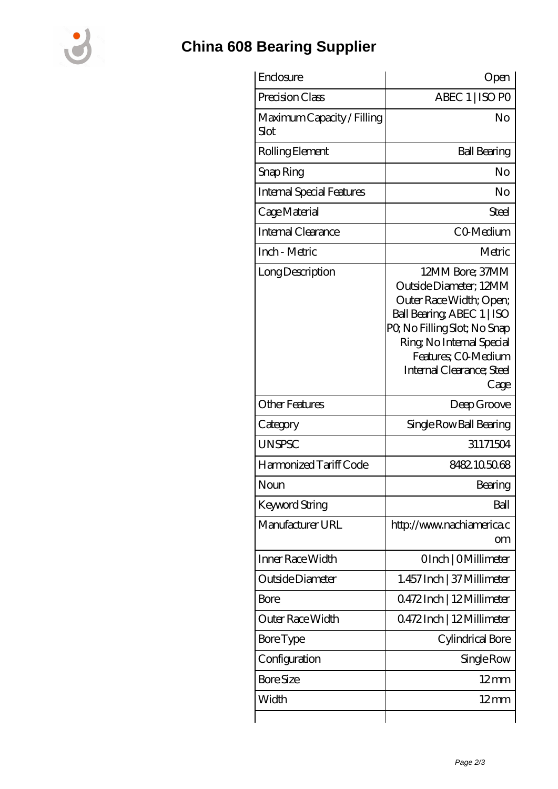

## **[China 608 Bearing Supplier](https://m.rycraftlaw.com)**

| Enclosure                          | Open                                                                                                                                                                                                                       |
|------------------------------------|----------------------------------------------------------------------------------------------------------------------------------------------------------------------------------------------------------------------------|
| Precision Class                    | ABEC 1   ISO PO                                                                                                                                                                                                            |
| Maximum Capacity / Filling<br>Slot | No                                                                                                                                                                                                                         |
| Rolling Element                    | <b>Ball Bearing</b>                                                                                                                                                                                                        |
| Snap Ring                          | No                                                                                                                                                                                                                         |
| Internal Special Features          | No                                                                                                                                                                                                                         |
| Cage Material                      | Steel                                                                                                                                                                                                                      |
| Internal Clearance                 | CO-Medium                                                                                                                                                                                                                  |
| Inch - Metric                      | Metric                                                                                                                                                                                                                     |
| Long Description                   | 12MM Bore; 37MM<br>Outside Diameter; 12MM<br>Outer Race Width; Open;<br>Ball Bearing, ABEC 1   ISO<br>PQ No Filling Slot; No Snap<br>Ring, No Internal Special<br>Features; CO Medium<br>Internal Clearance; Steel<br>Cage |
| <b>Other Features</b>              | Deep Groove                                                                                                                                                                                                                |
| Category                           | Single Row Ball Bearing                                                                                                                                                                                                    |
| <b>UNSPSC</b>                      | 31171504                                                                                                                                                                                                                   |
| Harmonized Tariff Code             | 8482105068                                                                                                                                                                                                                 |
| Noun                               | Bearing                                                                                                                                                                                                                    |
| <b>Keyword String</b>              | Ball                                                                                                                                                                                                                       |
| Manufacturer URL                   | http://www.nachiamerica.c<br>om                                                                                                                                                                                            |
| Inner Race Width                   | OInch   OMillimeter                                                                                                                                                                                                        |
| Outside Diameter                   | 1.457 Inch   37 Millimeter                                                                                                                                                                                                 |
| Bore                               | 0.472Inch   12Millimeter                                                                                                                                                                                                   |
| Outer Race Width                   | Q472Inch   12Millimeter                                                                                                                                                                                                    |
| Bore Type                          | Cylindrical Bore                                                                                                                                                                                                           |
| Configuration                      | Single Row                                                                                                                                                                                                                 |
| <b>Bore Size</b>                   | $12 \text{mm}$                                                                                                                                                                                                             |
| Width                              | $12 \text{mm}$                                                                                                                                                                                                             |
|                                    |                                                                                                                                                                                                                            |